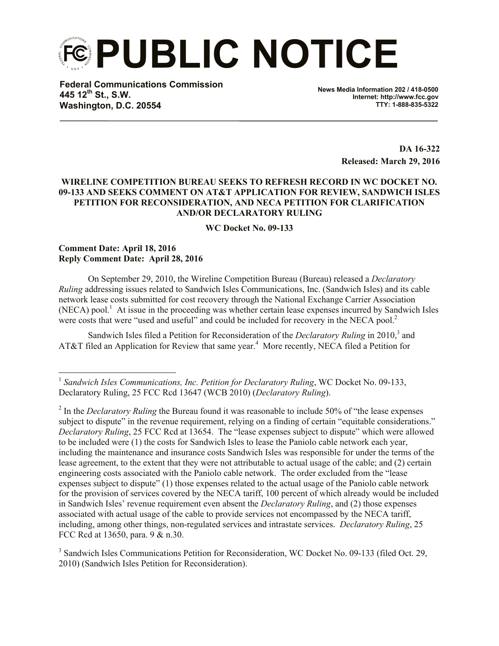**PUBLIC NOTICE**

**Federal Communications Commission 445 12th St., S.W. Washington, D.C. 20554**

**News Media Information 202 / 418-0500 Internet: http://www.fcc.gov TTY: 1-888-835-5322**

> **DA 16-322 Released: March 29, 2016**

## **WIRELINE COMPETITION BUREAU SEEKS TO REFRESH RECORD IN WC DOCKET NO. 09-133 AND SEEKS COMMENT ON AT&T APPLICATION FOR REVIEW, SANDWICH ISLES PETITION FOR RECONSIDERATION, AND NECA PETITION FOR CLARIFICATION AND/OR DECLARATORY RULING**

**WC Docket No. 09-133**

## **Comment Date: April 18, 2016 Reply Comment Date: April 28, 2016**

l

On September 29, 2010, the Wireline Competition Bureau (Bureau) released a *Declaratory Ruling* addressing issues related to Sandwich Isles Communications, Inc. (Sandwich Isles) and its cable network lease costs submitted for cost recovery through the National Exchange Carrier Association  $(NECA)$  pool.<sup>1</sup> At issue in the proceeding was whether certain lease expenses incurred by Sandwich Isles were costs that were "used and useful" and could be included for recovery in the NECA pool.<sup>2</sup>

Sandwich Isles filed a Petition for Reconsideration of the *Declaratory Ruling* in 2010,<sup>3</sup> and AT&T filed an Application for Review that same year.<sup>4</sup> More recently, NECA filed a Petition for

<sup>&</sup>lt;sup>1</sup> Sandwich Isles Communications, Inc. Petition for Declaratory Ruling, WC Docket No. 09-133, Declaratory Ruling, 25 FCC Rcd 13647 (WCB 2010) (*Declaratory Ruling*).

<sup>&</sup>lt;sup>2</sup> In the *Declaratory Ruling* the Bureau found it was reasonable to include 50% of "the lease expenses" subject to dispute" in the revenue requirement, relying on a finding of certain "equitable considerations." *Declaratory Ruling*, 25 FCC Rcd at 13654. The "lease expenses subject to dispute" which were allowed to be included were (1) the costs for Sandwich Isles to lease the Paniolo cable network each year, including the maintenance and insurance costs Sandwich Isles was responsible for under the terms of the lease agreement, to the extent that they were not attributable to actual usage of the cable; and (2) certain engineering costs associated with the Paniolo cable network. The order excluded from the "lease expenses subject to dispute" (1) those expenses related to the actual usage of the Paniolo cable network for the provision of services covered by the NECA tariff, 100 percent of which already would be included in Sandwich Isles' revenue requirement even absent the *Declaratory Ruling*, and (2) those expenses associated with actual usage of the cable to provide services not encompassed by the NECA tariff, including, among other things, non-regulated services and intrastate services. *Declaratory Ruling*, 25 FCC Rcd at 13650, para. 9 & n.30.

<sup>&</sup>lt;sup>3</sup> Sandwich Isles Communications Petition for Reconsideration, WC Docket No. 09-133 (filed Oct. 29, 2010) (Sandwich Isles Petition for Reconsideration).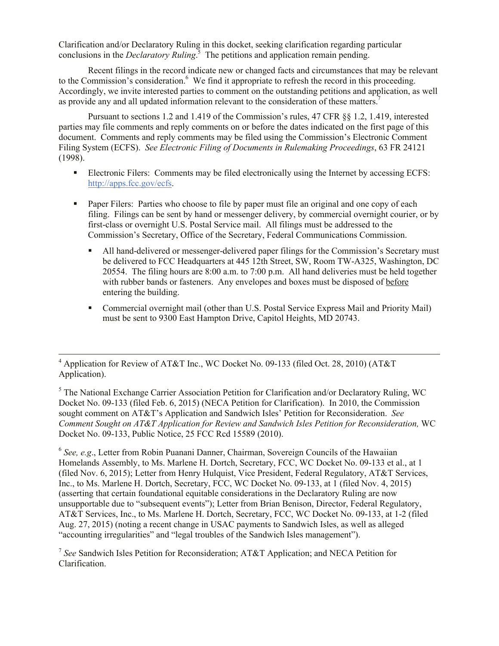Clarification and/or Declaratory Ruling in this docket, seeking clarification regarding particular conclusions in the *Declaratory Ruling*. 5 The petitions and application remain pending.

Recent filings in the record indicate new or changed facts and circumstances that may be relevant to the Commission's consideration.<sup>6</sup> We find it appropriate to refresh the record in this proceeding. Accordingly, we invite interested parties to comment on the outstanding petitions and application, as well as provide any and all updated information relevant to the consideration of these matters.<sup>7</sup>

Pursuant to sections 1.2 and 1.419 of the Commission's rules, 47 CFR §§ 1.2, 1.419, interested parties may file comments and reply comments on or before the dates indicated on the first page of this document. Comments and reply comments may be filed using the Commission's Electronic Comment Filing System (ECFS). *See Electronic Filing of Documents in Rulemaking Proceedings*, 63 FR 24121 (1998).

- Electronic Filers: Comments may be filed electronically using the Internet by accessing ECFS: http://apps.fcc.gov/ecfs.
- Paper Filers: Parties who choose to file by paper must file an original and one copy of each filing. Filings can be sent by hand or messenger delivery, by commercial overnight courier, or by first-class or overnight U.S. Postal Service mail. All filings must be addressed to the Commission's Secretary, Office of the Secretary, Federal Communications Commission.
	- All hand-delivered or messenger-delivered paper filings for the Commission's Secretary must be delivered to FCC Headquarters at 445 12th Street, SW, Room TW-A325, Washington, DC 20554. The filing hours are 8:00 a.m. to 7:00 p.m. All hand deliveries must be held together with rubber bands or fasteners. Any envelopes and boxes must be disposed of before entering the building.
	- Commercial overnight mail (other than U.S. Postal Service Express Mail and Priority Mail) must be sent to 9300 East Hampton Drive, Capitol Heights, MD 20743.

l

<sup>5</sup> The National Exchange Carrier Association Petition for Clarification and/or Declaratory Ruling, WC Docket No. 09-133 (filed Feb. 6, 2015) (NECA Petition for Clarification). In 2010, the Commission sought comment on AT&T's Application and Sandwich Isles' Petition for Reconsideration. *See Comment Sought on AT&T Application for Review and Sandwich Isles Petition for Reconsideration,* WC Docket No. 09-133, Public Notice, 25 FCC Rcd 15589 (2010).

<sup>6</sup> See, e.g., Letter from Robin Puanani Danner, Chairman, Sovereign Councils of the Hawaiian Homelands Assembly, to Ms. Marlene H. Dortch, Secretary, FCC, WC Docket No. 09-133 et al., at 1 (filed Nov. 6, 2015); Letter from Henry Hulquist, Vice President, Federal Regulatory, AT&T Services, Inc., to Ms. Marlene H. Dortch, Secretary, FCC, WC Docket No. 09-133, at 1 (filed Nov. 4, 2015) (asserting that certain foundational equitable considerations in the Declaratory Ruling are now unsupportable due to "subsequent events"); Letter from Brian Benison, Director, Federal Regulatory, AT&T Services, Inc., to Ms. Marlene H. Dortch, Secretary, FCC, WC Docket No. 09-133, at 1-2 (filed Aug. 27, 2015) (noting a recent change in USAC payments to Sandwich Isles, as well as alleged "accounting irregularities" and "legal troubles of the Sandwich Isles management").

7 *See* Sandwich Isles Petition for Reconsideration; AT&T Application; and NECA Petition for Clarification.

 $4$  Application for Review of AT&T Inc., WC Docket No. 09-133 (filed Oct. 28, 2010) (AT&T Application).